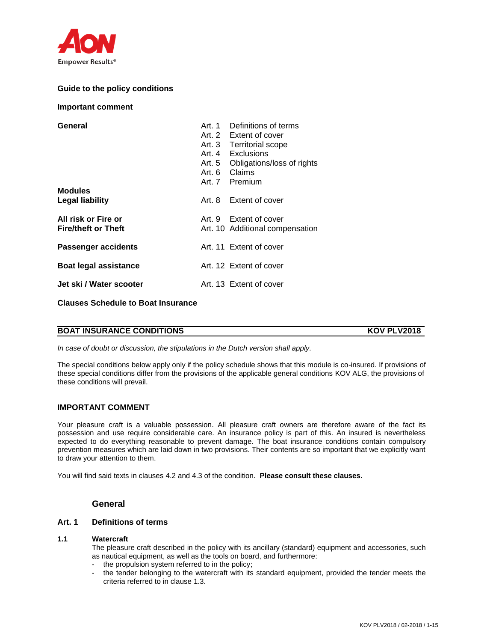

# **Guide to the policy conditions**

#### **Important comment**

| General<br><b>Modules</b><br><b>Legal liability</b> | Art. 3<br>Art. 5<br>Art. 6 | Art. 1 Definitions of terms<br>Art. 2 Extent of cover<br>Territorial scope<br>Art 4 Exclusions<br>Obligations/loss of rights<br>Claims<br>Art. 7 Premium<br>Art. 8 Extent of cover |
|-----------------------------------------------------|----------------------------|------------------------------------------------------------------------------------------------------------------------------------------------------------------------------------|
| All risk or Fire or<br><b>Fire/theft or Theft</b>   |                            | Art. 9 Extent of cover<br>Art. 10 Additional compensation                                                                                                                          |
| <b>Passenger accidents</b>                          |                            | Art. 11 Extent of cover                                                                                                                                                            |
| <b>Boat legal assistance</b>                        |                            | Art. 12 Extent of cover                                                                                                                                                            |
| Jet ski / Water scooter                             |                            | Art. 13 Extent of cover                                                                                                                                                            |

**Clauses Schedule to Boat Insurance**

## **BOAT INSURANCE CONDITIONS KOV PLV2018**

*In case of doubt or discussion, the stipulations in the Dutch version shall apply.*

The special conditions below apply only if the policy schedule shows that this module is co-insured. If provisions of these special conditions differ from the provisions of the applicable general conditions KOV ALG, the provisions of these conditions will prevail.

# **IMPORTANT COMMENT**

Your pleasure craft is a valuable possession. All pleasure craft owners are therefore aware of the fact its possession and use require considerable care. An insurance policy is part of this. An insured is nevertheless expected to do everything reasonable to prevent damage. The boat insurance conditions contain compulsory prevention measures which are laid down in two provisions. Their contents are so important that we explicitly want to draw your attention to them.

You will find said texts in clauses 4.2 and 4.3 of the condition. **Please consult these clauses.** 

# **General**

## **Art. 1 Definitions of terms**

#### **1.1 Watercraft**

The pleasure craft described in the policy with its ancillary (standard) equipment and accessories, such as nautical equipment, as well as the tools on board, and furthermore:

- the propulsion system referred to in the policy;
- the tender belonging to the watercraft with its standard equipment, provided the tender meets the criteria referred to in clause 1.3.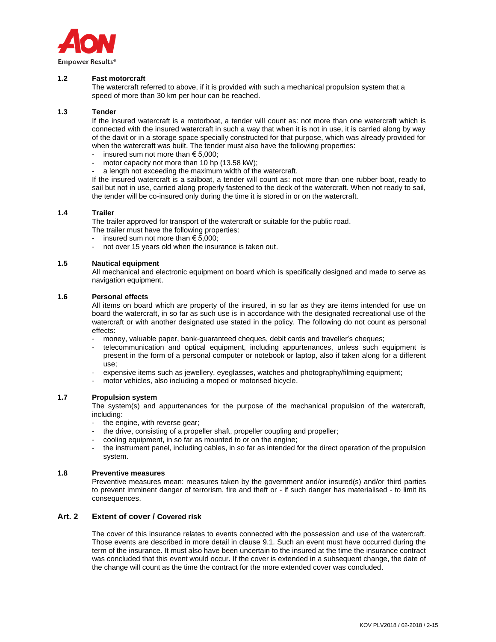

## **1.2 Fast motorcraft**

The watercraft referred to above, if it is provided with such a mechanical propulsion system that a speed of more than 30 km per hour can be reached.

#### **1.3 Tender**

If the insured watercraft is a motorboat, a tender will count as: not more than one watercraft which is connected with the insured watercraft in such a way that when it is not in use, it is carried along by way of the davit or in a storage space specially constructed for that purpose, which was already provided for when the watercraft was built. The tender must also have the following properties:

- insured sum not more than  $\epsilon$  5.000:
- motor capacity not more than 10 hp (13.58 kW);
- a length not exceeding the maximum width of the watercraft.

If the insured watercraft is a sailboat, a tender will count as: not more than one rubber boat, ready to sail but not in use, carried along properly fastened to the deck of the watercraft. When not ready to sail, the tender will be co-insured only during the time it is stored in or on the watercraft.

#### **1.4 Trailer**

The trailer approved for transport of the watercraft or suitable for the public road.

- The trailer must have the following properties:
- insured sum not more than  $\epsilon$  5.000:
- not over 15 years old when the insurance is taken out.

#### **1.5 Nautical equipment**

All mechanical and electronic equipment on board which is specifically designed and made to serve as navigation equipment.

#### **1.6 Personal effects**

All items on board which are property of the insured, in so far as they are items intended for use on board the watercraft, in so far as such use is in accordance with the designated recreational use of the watercraft or with another designated use stated in the policy. The following do not count as personal effects:

- money, valuable paper, bank-guaranteed cheques, debit cards and traveller's cheques;
- telecommunication and optical equipment, including appurtenances, unless such equipment is present in the form of a personal computer or notebook or laptop, also if taken along for a different use;
- expensive items such as jewellery, eyeglasses, watches and photography/filming equipment;
- motor vehicles, also including a moped or motorised bicycle.

## **1.7 Propulsion system**

The system(s) and appurtenances for the purpose of the mechanical propulsion of the watercraft, including:

- the engine, with reverse gear;
- the drive, consisting of a propeller shaft, propeller coupling and propeller;
- cooling equipment, in so far as mounted to or on the engine;
- the instrument panel, including cables, in so far as intended for the direct operation of the propulsion system.

### **1.8 Preventive measures**

Preventive measures mean: measures taken by the government and/or insured(s) and/or third parties to prevent imminent danger of terrorism, fire and theft or - if such danger has materialised - to limit its consequences.

## **Art. 2 Extent of cover / Covered risk**

The cover of this insurance relates to events connected with the possession and use of the watercraft. Those events are described in more detail in clause 9.1. Such an event must have occurred during the term of the insurance. It must also have been uncertain to the insured at the time the insurance contract was concluded that this event would occur. If the cover is extended in a subsequent change, the date of the change will count as the time the contract for the more extended cover was concluded.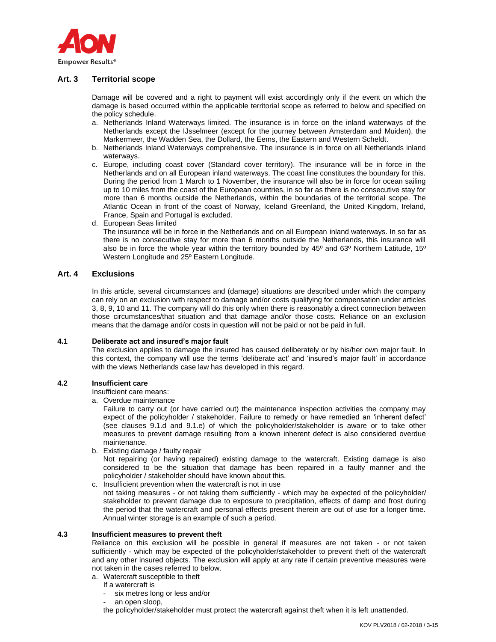

# **Art. 3 Territorial scope**

Damage will be covered and a right to payment will exist accordingly only if the event on which the damage is based occurred within the applicable territorial scope as referred to below and specified on the policy schedule.

- a. Netherlands Inland Waterways limited. The insurance is in force on the inland waterways of the Netherlands except the IJsselmeer (except for the journey between Amsterdam and Muiden), the Markermeer, the Wadden Sea, the Dollard, the Eems, the Eastern and Western Scheldt.
- b. Netherlands Inland Waterways comprehensive. The insurance is in force on all Netherlands inland waterways.
- c. Europe, including coast cover (Standard cover territory). The insurance will be in force in the Netherlands and on all European inland waterways. The coast line constitutes the boundary for this. During the period from 1 March to 1 November, the insurance will also be in force for ocean sailing up to 10 miles from the coast of the European countries, in so far as there is no consecutive stay for more than 6 months outside the Netherlands, within the boundaries of the territorial scope. The Atlantic Ocean in front of the coast of Norway, Iceland Greenland, the United Kingdom, Ireland, France, Spain and Portugal is excluded.
- d. European Seas limited

The insurance will be in force in the Netherlands and on all European inland waterways. In so far as there is no consecutive stay for more than 6 months outside the Netherlands, this insurance will also be in force the whole year within the territory bounded by 45º and 63º Northern Latitude, 15º Western Longitude and 25º Eastern Longitude.

## **Art. 4 Exclusions**

In this article, several circumstances and (damage) situations are described under which the company can rely on an exclusion with respect to damage and/or costs qualifying for compensation under articles 3, 8, 9, 10 and 11. The company will do this only when there is reasonably a direct connection between those circumstances/that situation and that damage and/or those costs. Reliance on an exclusion means that the damage and/or costs in question will not be paid or not be paid in full.

## **4.1 Deliberate act and insured's major fault**

The exclusion applies to damage the insured has caused deliberately or by his/her own major fault. In this context, the company will use the terms 'deliberate act' and 'insured's major fault' in accordance with the views Netherlands case law has developed in this regard.

## **4.2 Insufficient care**

Insufficient care means:

a. Overdue maintenance

Failure to carry out (or have carried out) the maintenance inspection activities the company may expect of the policyholder / stakeholder. Failure to remedy or have remedied an 'inherent defect' (see clauses 9.1.d and 9.1.e) of which the policyholder/stakeholder is aware or to take other measures to prevent damage resulting from a known inherent defect is also considered overdue maintenance.

b. Existing damage / faulty repair

Not repairing (or having repaired) existing damage to the watercraft. Existing damage is also considered to be the situation that damage has been repaired in a faulty manner and the policyholder / stakeholder should have known about this.

c. Insufficient prevention when the watercraft is not in use not taking measures - or not taking them sufficiently - which may be expected of the policyholder/

stakeholder to prevent damage due to exposure to precipitation, effects of damp and frost during the period that the watercraft and personal effects present therein are out of use for a longer time. Annual winter storage is an example of such a period.

# **4.3 Insufficient measures to prevent theft**

Reliance on this exclusion will be possible in general if measures are not taken - or not taken sufficiently - which may be expected of the policyholder/stakeholder to prevent theft of the watercraft and any other insured objects. The exclusion will apply at any rate if certain preventive measures were not taken in the cases referred to below.

- a. Watercraft susceptible to theft
	- If a watercraft is
		- six metres long or less and/or
		- an open sloop.

the policyholder/stakeholder must protect the watercraft against theft when it is left unattended.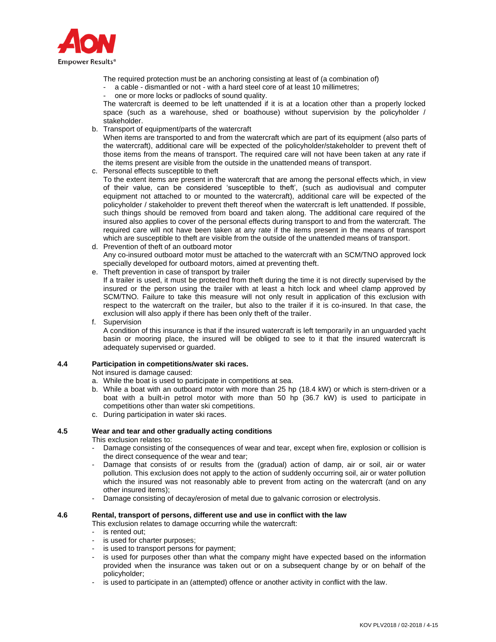

The required protection must be an anchoring consisting at least of (a combination of)

- a cable dismantled or not with a hard steel core of at least 10 millimetres;
- one or more locks or padlocks of sound quality.

The watercraft is deemed to be left unattended if it is at a location other than a properly locked space (such as a warehouse, shed or boathouse) without supervision by the policyholder / stakeholder.

b. Transport of equipment/parts of the watercraft

When items are transported to and from the watercraft which are part of its equipment (also parts of the watercraft), additional care will be expected of the policyholder/stakeholder to prevent theft of those items from the means of transport. The required care will not have been taken at any rate if the items present are visible from the outside in the unattended means of transport.

c. Personal effects susceptible to theft

To the extent items are present in the watercraft that are among the personal effects which, in view of their value, can be considered 'susceptible to theft', (such as audiovisual and computer equipment not attached to or mounted to the watercraft), additional care will be expected of the policyholder / stakeholder to prevent theft thereof when the watercraft is left unattended. If possible, such things should be removed from board and taken along. The additional care required of the insured also applies to cover of the personal effects during transport to and from the watercraft. The required care will not have been taken at any rate if the items present in the means of transport which are susceptible to theft are visible from the outside of the unattended means of transport.

- d. Prevention of theft of an outboard motor Any co-insured outboard motor must be attached to the watercraft with an SCM/TNO approved lock specially developed for outboard motors, aimed at preventing theft.
- e. Theft prevention in case of transport by trailer

If a trailer is used, it must be protected from theft during the time it is not directly supervised by the insured or the person using the trailer with at least a hitch lock and wheel clamp approved by SCM/TNO. Failure to take this measure will not only result in application of this exclusion with respect to the watercraft on the trailer, but also to the trailer if it is co-insured. In that case, the exclusion will also apply if there has been only theft of the trailer.

#### f. Supervision

A condition of this insurance is that if the insured watercraft is left temporarily in an unguarded yacht basin or mooring place, the insured will be obliged to see to it that the insured watercraft is adequately supervised or guarded.

#### **4.4 Participation in competitions/water ski races.**

Not insured is damage caused:

- a. While the boat is used to participate in competitions at sea.
- b. While a boat with an outboard motor with more than 25 hp (18.4 kW) or which is stern-driven or a boat with a built-in petrol motor with more than 50 hp (36.7 kW) is used to participate in competitions other than water ski competitions.
- c. During participation in water ski races.

## **4.5 Wear and tear and other gradually acting conditions**

This exclusion relates to:

- Damage consisting of the consequences of wear and tear, except when fire, explosion or collision is the direct consequence of the wear and tear;
- Damage that consists of or results from the (gradual) action of damp, air or soil, air or water pollution. This exclusion does not apply to the action of suddenly occurring soil, air or water pollution which the insured was not reasonably able to prevent from acting on the watercraft (and on any other insured items);
- Damage consisting of decay/erosion of metal due to galvanic corrosion or electrolysis.

#### **4.6 Rental, transport of persons, different use and use in conflict with the law**

This exclusion relates to damage occurring while the watercraft:

- is rented out;
- is used for charter purposes;
- is used to transport persons for payment;
- is used for purposes other than what the company might have expected based on the information provided when the insurance was taken out or on a subsequent change by or on behalf of the policyholder;
- is used to participate in an (attempted) offence or another activity in conflict with the law.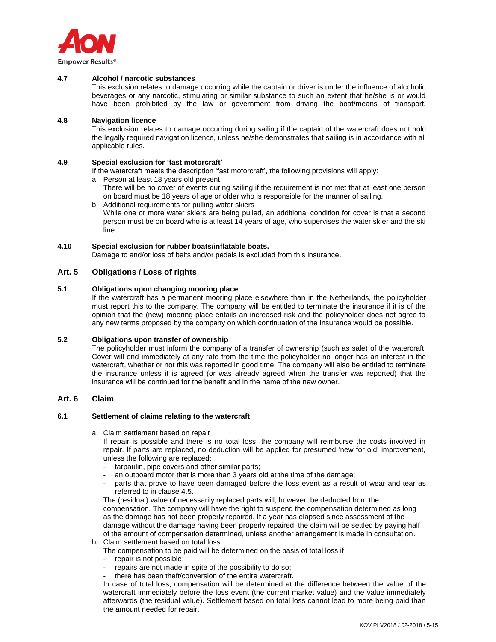

#### **4.7 Alcohol / narcotic substances**

This exclusion relates to damage occurring while the captain or driver is under the influence of alcoholic beverages or any narcotic, stimulating or similar substance to such an extent that he/she is or would have been prohibited by the law or government from driving the boat/means of transport.

#### **4.8 Navigation licence**

This exclusion relates to damage occurring during sailing if the captain of the watercraft does not hold the legally required navigation licence, unless he/she demonstrates that sailing is in accordance with all applicable rules.

#### **4.9 Special exclusion for 'fast motorcraft'**

If the watercraft meets the description 'fast motorcraft', the following provisions will apply:

- a. Person at least 18 years old present
	- There will be no cover of events during sailing if the requirement is not met that at least one person on board must be 18 years of age or older who is responsible for the manner of sailing.
- b. Additional requirements for pulling water skiers While one or more water skiers are being pulled, an additional condition for cover is that a second person must be on board who is at least 14 years of age, who supervises the water skier and the ski line.

#### **4.10 Special exclusion for rubber boats/inflatable boats.**

Damage to and/or loss of belts and/or pedals is excluded from this insurance.

## **Art. 5 Obligations / Loss of rights**

## **5.1 Obligations upon changing mooring place**

If the watercraft has a permanent mooring place elsewhere than in the Netherlands, the policyholder must report this to the company. The company will be entitled to terminate the insurance if it is of the opinion that the (new) mooring place entails an increased risk and the policyholder does not agree to any new terms proposed by the company on which continuation of the insurance would be possible.

## **5.2 Obligations upon transfer of ownership**

The policyholder must inform the company of a transfer of ownership (such as sale) of the watercraft. Cover will end immediately at any rate from the time the policyholder no longer has an interest in the watercraft, whether or not this was reported in good time. The company will also be entitled to terminate the insurance unless it is agreed (or was already agreed when the transfer was reported) that the insurance will be continued for the benefit and in the name of the new owner.

## **Art. 6 Claim**

#### **6.1 Settlement of claims relating to the watercraft**

a. Claim settlement based on repair

If repair is possible and there is no total loss, the company will reimburse the costs involved in repair. If parts are replaced, no deduction will be applied for presumed 'new for old' improvement, unless the following are replaced:

- tarpaulin, pipe covers and other similar parts;
- an outboard motor that is more than 3 years old at the time of the damage;
- parts that prove to have been damaged before the loss event as a result of wear and tear as referred to in clause 4.5.

The (residual) value of necessarily replaced parts will, however, be deducted from the compensation. The company will have the right to suspend the compensation determined as long as the damage has not been properly repaired. If a year has elapsed since assessment of the damage without the damage having been properly repaired, the claim will be settled by paying half of the amount of compensation determined, unless another arrangement is made in consultation.

b. Claim settlement based on total loss

The compensation to be paid will be determined on the basis of total loss if:

- repair is not possible:
- repairs are not made in spite of the possibility to do so;
- there has been theft/conversion of the entire watercraft.

In case of total loss, compensation will be determined at the difference between the value of the watercraft immediately before the loss event (the current market value) and the value immediately afterwards (the residual value). Settlement based on total loss cannot lead to more being paid than the amount needed for repair.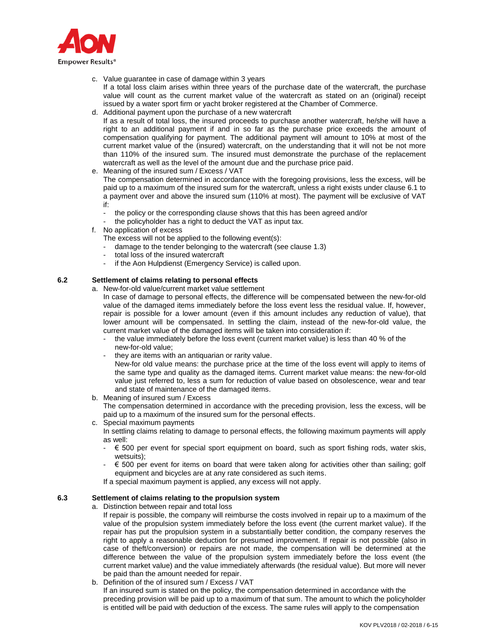

- c. Value guarantee in case of damage within 3 years If a total loss claim arises within three years of the purchase date of the watercraft, the purchase value will count as the current market value of the watercraft as stated on an (original) receipt issued by a water sport firm or yacht broker registered at the Chamber of Commerce.
- d. Additional payment upon the purchase of a new watercraft If as a result of total loss, the insured proceeds to purchase another watercraft, he/she will have a right to an additional payment if and in so far as the purchase price exceeds the amount of compensation qualifying for payment. The additional payment will amount to 10% at most of the current market value of the (insured) watercraft, on the understanding that it will not be not more than 110% of the insured sum. The insured must demonstrate the purchase of the replacement watercraft as well as the level of the amount due and the purchase price paid.
- e. Meaning of the insured sum / Excess / VAT
	- The compensation determined in accordance with the foregoing provisions, less the excess, will be paid up to a maximum of the insured sum for the watercraft, unless a right exists under clause 6.1 to a payment over and above the insured sum (110% at most). The payment will be exclusive of VAT if:
	- the policy or the corresponding clause shows that this has been agreed and/or
	- the policyholder has a right to deduct the VAT as input tax.
- f. No application of excess
	- The excess will not be applied to the following event(s):
	- damage to the tender belonging to the watercraft (see clause 1.3)
	- total loss of the insured watercraft
	- if the Aon Hulpdienst (Emergency Service) is called upon.

# **6.2 Settlement of claims relating to personal effects**

- a. New-for-old value/current market value settlement
	- In case of damage to personal effects, the difference will be compensated between the new-for-old value of the damaged items immediately before the loss event less the residual value. If, however, repair is possible for a lower amount (even if this amount includes any reduction of value), that lower amount will be compensated. In settling the claim, instead of the new-for-old value, the current market value of the damaged items will be taken into consideration if:
		- the value immediately before the loss event (current market value) is less than 40 % of the new-for-old value;
	- they are items with an antiquarian or rarity value.

New-for old value means: the purchase price at the time of the loss event will apply to items of the same type and quality as the damaged items. Current market value means: the new-for-old value just referred to, less a sum for reduction of value based on obsolescence, wear and tear and state of maintenance of the damaged items.

b. Meaning of insured sum / Excess

The compensation determined in accordance with the preceding provision, less the excess, will be paid up to a maximum of the insured sum for the personal effects.

c. Special maximum payments

In settling claims relating to damage to personal effects, the following maximum payments will apply as well:

- $\epsilon$  500 per event for special sport equipment on board, such as sport fishing rods, water skis, wetsuits);
- $\epsilon$  500 per event for items on board that were taken along for activities other than sailing; golf equipment and bicycles are at any rate considered as such items.
- If a special maximum payment is applied, any excess will not apply.

## **6.3 Settlement of claims relating to the propulsion system**

a. Distinction between repair and total loss

If repair is possible, the company will reimburse the costs involved in repair up to a maximum of the value of the propulsion system immediately before the loss event (the current market value). If the repair has put the propulsion system in a substantially better condition, the company reserves the right to apply a reasonable deduction for presumed improvement. If repair is not possible (also in case of theft/conversion) or repairs are not made, the compensation will be determined at the difference between the value of the propulsion system immediately before the loss event (the current market value) and the value immediately afterwards (the residual value). But more will never be paid than the amount needed for repair.

b. Definition of the of insured sum / Excess / VAT

If an insured sum is stated on the policy, the compensation determined in accordance with the preceding provision will be paid up to a maximum of that sum. The amount to which the policyholder is entitled will be paid with deduction of the excess. The same rules will apply to the compensation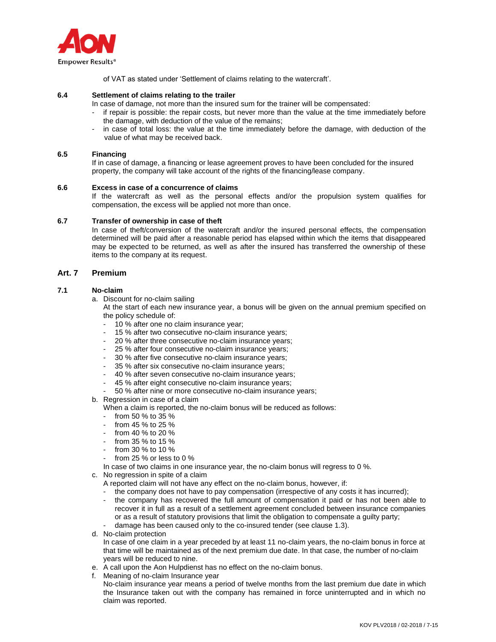

of VAT as stated under 'Settlement of claims relating to the watercraft'.

## **6.4 Settlement of claims relating to the trailer**

- In case of damage, not more than the insured sum for the trainer will be compensated:
- if repair is possible: the repair costs, but never more than the value at the time immediately before the damage, with deduction of the value of the remains;
- in case of total loss: the value at the time immediately before the damage, with deduction of the value of what may be received back.

#### **6.5 Financing**

If in case of damage, a financing or lease agreement proves to have been concluded for the insured property, the company will take account of the rights of the financing/lease company.

#### **6.6 Excess in case of a concurrence of claims**

If the watercraft as well as the personal effects and/or the propulsion system qualifies for compensation, the excess will be applied not more than once.

#### **6.7 Transfer of ownership in case of theft**

In case of theft/conversion of the watercraft and/or the insured personal effects, the compensation determined will be paid after a reasonable period has elapsed within which the items that disappeared may be expected to be returned, as well as after the insured has transferred the ownership of these items to the company at its request.

# **Art. 7 Premium**

## **7.1 No-claim**

a. Discount for no-claim sailing

At the start of each new insurance year, a bonus will be given on the annual premium specified on the policy schedule of:

- 10 % after one no claim insurance year;
- 15 % after two consecutive no-claim insurance years;
- 20 % after three consecutive no-claim insurance years;
- 25 % after four consecutive no-claim insurance years;
- 30 % after five consecutive no-claim insurance years;
- 35 % after six consecutive no-claim insurance years;
- 40 % after seven consecutive no-claim insurance years;
- 45 % after eight consecutive no-claim insurance years;
- 50 % after nine or more consecutive no-claim insurance years;
- b. Regression in case of a claim
	- When a claim is reported, the no-claim bonus will be reduced as follows:
	- from 50 % to 35 %
	- from 45 % to 25 %
	- from 40 % to 20 %
	- from 35 % to 15 %
	- from 30 % to 10 %
	- from 25  $%$  or less to 0  $%$
	- In case of two claims in one insurance year, the no-claim bonus will regress to 0 %.
- c. No regression in spite of a claim
	- A reported claim will not have any effect on the no-claim bonus, however, if:
	- the company does not have to pay compensation (irrespective of any costs it has incurred); the company has recovered the full amount of compensation it paid or has not been able to
	- recover it in full as a result of a settlement agreement concluded between insurance companies or as a result of statutory provisions that limit the obligation to compensate a guilty party;
	- damage has been caused only to the co-insured tender (see clause 1.3).
- d. No-claim protection

In case of one claim in a year preceded by at least 11 no-claim years, the no-claim bonus in force at that time will be maintained as of the next premium due date. In that case, the number of no-claim years will be reduced to nine.

- e. A call upon the Aon Hulpdienst has no effect on the no-claim bonus.
- f. Meaning of no-claim Insurance year

No-claim insurance year means a period of twelve months from the last premium due date in which the Insurance taken out with the company has remained in force uninterrupted and in which no claim was reported.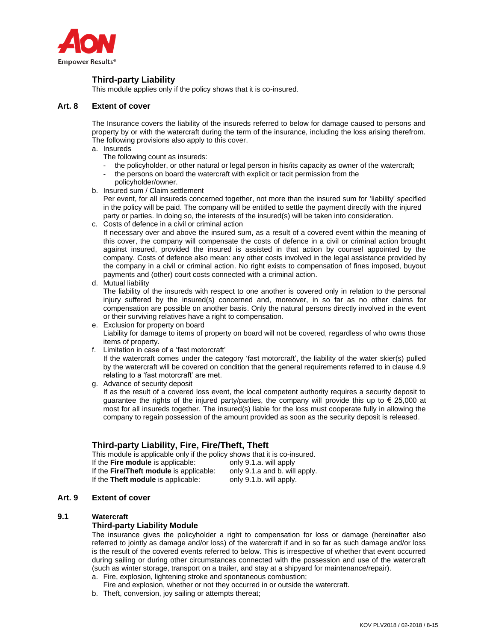

# **Third-party Liability**

This module applies only if the policy shows that it is co-insured.

## **Art. 8 Extent of cover**

The Insurance covers the liability of the insureds referred to below for damage caused to persons and property by or with the watercraft during the term of the insurance, including the loss arising therefrom. The following provisions also apply to this cover.

- a. Insureds
	- The following count as insureds:
	- the policyholder, or other natural or legal person in his/its capacity as owner of the watercraft;
	- the persons on board the watercraft with explicit or tacit permission from the
- policyholder/owner. b. Insured sum / Claim settlement
	- Per event, for all insureds concerned together, not more than the insured sum for 'liability' specified in the policy will be paid. The company will be entitled to settle the payment directly with the injured party or parties. In doing so, the interests of the insured(s) will be taken into consideration.
- c. Costs of defence in a civil or criminal action

If necessary over and above the insured sum, as a result of a covered event within the meaning of this cover, the company will compensate the costs of defence in a civil or criminal action brought against insured, provided the insured is assisted in that action by counsel appointed by the company. Costs of defence also mean: any other costs involved in the legal assistance provided by the company in a civil or criminal action. No right exists to compensation of fines imposed, buyout payments and (other) court costs connected with a criminal action.

## d. Mutual liability

The liability of the insureds with respect to one another is covered only in relation to the personal injury suffered by the insured(s) concerned and, moreover, in so far as no other claims for compensation are possible on another basis. Only the natural persons directly involved in the event or their surviving relatives have a right to compensation.

- e. Exclusion for property on board Liability for damage to items of property on board will not be covered, regardless of who owns those items of property.
- f. Limitation in case of a 'fast motorcraft'

If the watercraft comes under the category 'fast motorcraft', the liability of the water skier(s) pulled by the watercraft will be covered on condition that the general requirements referred to in clause 4.9 relating to a 'fast motorcraft' are met.

g. Advance of security deposit

If as the result of a covered loss event, the local competent authority requires a security deposit to guarantee the rights of the injured party/parties, the company will provide this up to € 25,000 at most for all insureds together. The insured(s) liable for the loss must cooperate fully in allowing the company to regain possession of the amount provided as soon as the security deposit is released.

# **Third-party Liability, Fire, Fire/Theft, Theft**

This module is applicable only if the policy shows that it is co-insured.<br>If the Fire module is applicable: only 9.1.a. will apply If the **Fire module** is applicable: If the **Fire/Theft module** is applicable: only 9.1.a and b. will apply. If the **Theft module** is applicable: only 9.1.b. will apply.

# **Art. 9 Extent of cover**

## **9.1 Watercraft**

# **Third-party Liability Module**

The insurance gives the policyholder a right to compensation for loss or damage (hereinafter also referred to jointly as damage and/or loss) of the watercraft if and in so far as such damage and/or loss is the result of the covered events referred to below. This is irrespective of whether that event occurred during sailing or during other circumstances connected with the possession and use of the watercraft (such as winter storage, transport on a trailer, and stay at a shipyard for maintenance/repair).

- a. Fire, explosion, lightening stroke and spontaneous combustion;
- Fire and explosion, whether or not they occurred in or outside the watercraft.
- b. Theft, conversion, joy sailing or attempts thereat;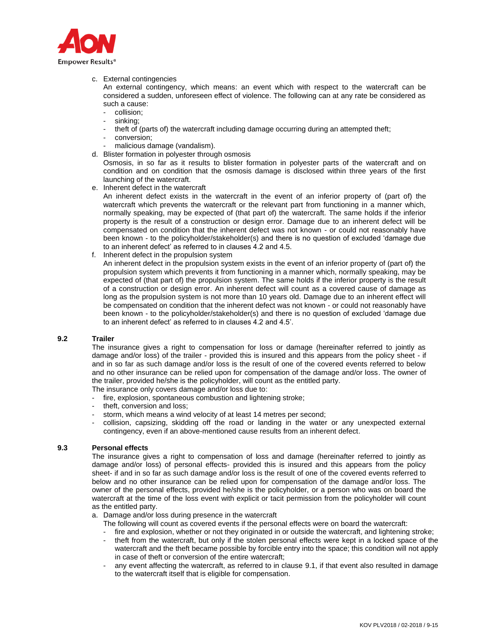

c. External contingencies

An external contingency, which means: an event which with respect to the watercraft can be considered a sudden, unforeseen effect of violence. The following can at any rate be considered as such a cause:

- collision:
- sinking;
- theft of (parts of) the watercraft including damage occurring during an attempted theft;
- conversion:
- malicious damage (vandalism).
- d. Blister formation in polyester through osmosis

Osmosis, in so far as it results to blister formation in polyester parts of the watercraft and on condition and on condition that the osmosis damage is disclosed within three years of the first launching of the watercraft.

e. Inherent defect in the watercraft

An inherent defect exists in the watercraft in the event of an inferior property of (part of) the watercraft which prevents the watercraft or the relevant part from functioning in a manner which, normally speaking, may be expected of (that part of) the watercraft. The same holds if the inferior property is the result of a construction or design error. Damage due to an inherent defect will be compensated on condition that the inherent defect was not known - or could not reasonably have been known - to the policyholder/stakeholder(s) and there is no question of excluded 'damage due to an inherent defect' as referred to in clauses 4.2 and 4.5.

f. Inherent defect in the propulsion system

An inherent defect in the propulsion system exists in the event of an inferior property of (part of) the propulsion system which prevents it from functioning in a manner which, normally speaking, may be expected of (that part of) the propulsion system. The same holds if the inferior property is the result of a construction or design error. An inherent defect will count as a covered cause of damage as long as the propulsion system is not more than 10 years old. Damage due to an inherent effect will be compensated on condition that the inherent defect was not known - or could not reasonably have been known - to the policyholder/stakeholder(s) and there is no question of excluded 'damage due to an inherent defect' as referred to in clauses 4.2 and 4.5'.

## **9.2 Trailer**

The insurance gives a right to compensation for loss or damage (hereinafter referred to jointly as damage and/or loss) of the trailer - provided this is insured and this appears from the policy sheet - if and in so far as such damage and/or loss is the result of one of the covered events referred to below and no other insurance can be relied upon for compensation of the damage and/or loss. The owner of the trailer, provided he/she is the policyholder, will count as the entitled party.

The insurance only covers damage and/or loss due to:

- fire, explosion, spontaneous combustion and lightening stroke;
- theft, conversion and loss;
- storm, which means a wind velocity of at least 14 metres per second;
- collision, capsizing, skidding off the road or landing in the water or any unexpected external contingency, even if an above-mentioned cause results from an inherent defect.

## **9.3 Personal effects**

The insurance gives a right to compensation of loss and damage (hereinafter referred to jointly as damage and/or loss) of personal effects- provided this is insured and this appears from the policy sheet- if and in so far as such damage and/or loss is the result of one of the covered events referred to below and no other insurance can be relied upon for compensation of the damage and/or loss. The owner of the personal effects, provided he/she is the policyholder, or a person who was on board the watercraft at the time of the loss event with explicit or tacit permission from the policyholder will count as the entitled party.

- a. Damage and/or loss during presence in the watercraft
	- The following will count as covered events if the personal effects were on board the watercraft:
	- fire and explosion, whether or not they originated in or outside the watercraft, and lightening stroke;
	- theft from the watercraft, but only if the stolen personal effects were kept in a locked space of the watercraft and the theft became possible by forcible entry into the space; this condition will not apply in case of theft or conversion of the entire watercraft;
	- any event affecting the watercraft, as referred to in clause 9.1, if that event also resulted in damage to the watercraft itself that is eligible for compensation.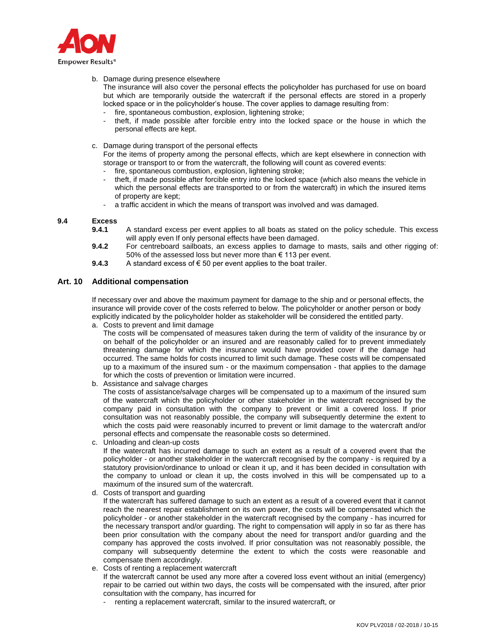

b. Damage during presence elsewhere

The insurance will also cover the personal effects the policyholder has purchased for use on board but which are temporarily outside the watercraft if the personal effects are stored in a properly locked space or in the policyholder's house. The cover applies to damage resulting from:

- fire, spontaneous combustion, explosion, lightening stroke;
- theft, if made possible after forcible entry into the locked space or the house in which the personal effects are kept.
- c. Damage during transport of the personal effects

For the items of property among the personal effects, which are kept elsewhere in connection with storage or transport to or from the watercraft, the following will count as covered events:

- fire, spontaneous combustion, explosion, lightening stroke;
- theft, if made possible after forcible entry into the locked space (which also means the vehicle in which the personal effects are transported to or from the watercraft) in which the insured items of property are kept;
- a traffic accident in which the means of transport was involved and was damaged.

## **9.4 Excess**

- **9.4.1** A standard excess per event applies to all boats as stated on the policy schedule. This excess will apply even If only personal effects have been damaged.
- **9.4.2** For centreboard sailboats, an excess applies to damage to masts, sails and other rigging of: 50% of the assessed loss but never more than € 113 per event.
- 9.4.3 A standard excess of € 50 per event applies to the boat trailer.

## **Art. 10 Additional compensation**

If necessary over and above the maximum payment for damage to the ship and or personal effects, the insurance will provide cover of the costs referred to below. The policyholder or another person or body explicitly indicated by the policyholder holder as stakeholder will be considered the entitled party.

a. Costs to prevent and limit damage

The costs will be compensated of measures taken during the term of validity of the insurance by or on behalf of the policyholder or an insured and are reasonably called for to prevent immediately threatening damage for which the insurance would have provided cover if the damage had occurred. The same holds for costs incurred to limit such damage. These costs will be compensated up to a maximum of the insured sum - or the maximum compensation - that applies to the damage for which the costs of prevention or limitation were incurred.

b. Assistance and salvage charges

The costs of assistance/salvage charges will be compensated up to a maximum of the insured sum of the watercraft which the policyholder or other stakeholder in the watercraft recognised by the company paid in consultation with the company to prevent or limit a covered loss. If prior consultation was not reasonably possible, the company will subsequently determine the extent to which the costs paid were reasonably incurred to prevent or limit damage to the watercraft and/or personal effects and compensate the reasonable costs so determined.

- c. Unloading and clean-up costs If the watercraft has incurred damage to such an extent as a result of a covered event that the policyholder - or another stakeholder in the watercraft recognised by the company - is required by a statutory provision/ordinance to unload or clean it up, and it has been decided in consultation with the company to unload or clean it up, the costs involved in this will be compensated up to a maximum of the insured sum of the watercraft.
- d. Costs of transport and guarding

If the watercraft has suffered damage to such an extent as a result of a covered event that it cannot reach the nearest repair establishment on its own power, the costs will be compensated which the policyholder - or another stakeholder in the watercraft recognised by the company - has incurred for the necessary transport and/or guarding. The right to compensation will apply in so far as there has been prior consultation with the company about the need for transport and/or guarding and the company has approved the costs involved. If prior consultation was not reasonably possible, the company will subsequently determine the extent to which the costs were reasonable and compensate them accordingly.

e. Costs of renting a replacement watercraft

If the watercraft cannot be used any more after a covered loss event without an initial (emergency) repair to be carried out within two days, the costs will be compensated with the insured, after prior consultation with the company, has incurred for

renting a replacement watercraft, similar to the insured watercraft, or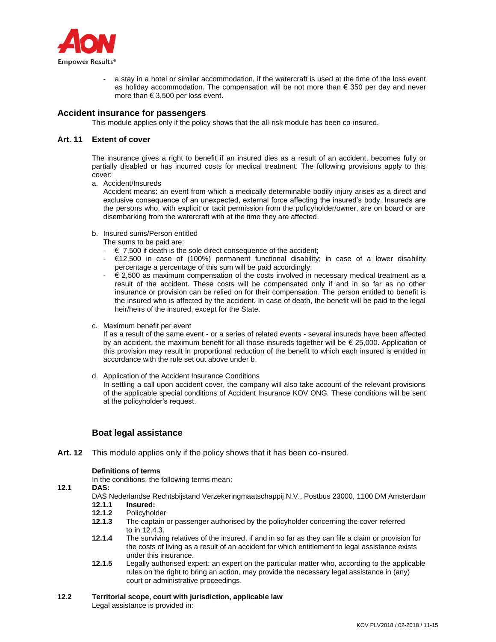

a stay in a hotel or similar accommodation, if the watercraft is used at the time of the loss event as holiday accommodation. The compensation will be not more than  $\epsilon$  350 per day and never more than  $\epsilon$  3,500 per loss event.

# **Accident insurance for passengers**

This module applies only if the policy shows that the all-risk module has been co-insured.

## **Art. 11 Extent of cover**

The insurance gives a right to benefit if an insured dies as a result of an accident, becomes fully or partially disabled or has incurred costs for medical treatment. The following provisions apply to this cover:

a. Accident/Insureds

Accident means: an event from which a medically determinable bodily injury arises as a direct and exclusive consequence of an unexpected, external force affecting the insured's body. Insureds are the persons who, with explicit or tacit permission from the policyholder/owner, are on board or are disembarking from the watercraft with at the time they are affected.

b. Insured sums/Person entitled

The sums to be paid are:

- $\cdot \in 7,500$  if death is the sole direct consequence of the accident;
- $\epsilon$ 12,500 in case of (100%) permanent functional disability; in case of a lower disability percentage a percentage of this sum will be paid accordingly;
- $\epsilon$  2,500 as maximum compensation of the costs involved in necessary medical treatment as a result of the accident. These costs will be compensated only if and in so far as no other insurance or provision can be relied on for their compensation. The person entitled to benefit is the insured who is affected by the accident. In case of death, the benefit will be paid to the legal heir/heirs of the insured, except for the State.
- c. Maximum benefit per event

If as a result of the same event - or a series of related events - several insureds have been affected by an accident, the maximum benefit for all those insureds together will be  $\epsilon$  25,000. Application of this provision may result in proportional reduction of the benefit to which each insured is entitled in accordance with the rule set out above under b.

d. Application of the Accident Insurance Conditions In settling a call upon accident cover, the company will also take account of the relevant provisions of the applicable special conditions of Accident Insurance KOV ONG. These conditions will be sent at the policyholder's request.

# **Boat legal assistance**

**Art. 12** This module applies only if the policy shows that it has been co-insured.

## **Definitions of terms**

In the conditions, the following terms mean:

## **12.1 DAS:**

- DAS Nederlandse Rechtsbijstand Verzekeringmaatschappij N.V., Postbus 23000, 1100 DM Amsterdam<br>12.1.1 lnsured:
- **12.1.1 Insured:**
- 12.1.2 Policyholder<br>12.1.3 The captain **12.1.3** The captain or passenger authorised by the policyholder concerning the cover referred to in 12.4.3.
- **12.1.4** The surviving relatives of the insured, if and in so far as they can file a claim or provision for the costs of living as a result of an accident for which entitlement to legal assistance exists under this insurance.
- **12.1.5** Legally authorised expert: an expert on the particular matter who, according to the applicable rules on the right to bring an action, may provide the necessary legal assistance in (any) court or administrative proceedings.

#### **12.2 Territorial scope, court with jurisdiction, applicable law** Legal assistance is provided in: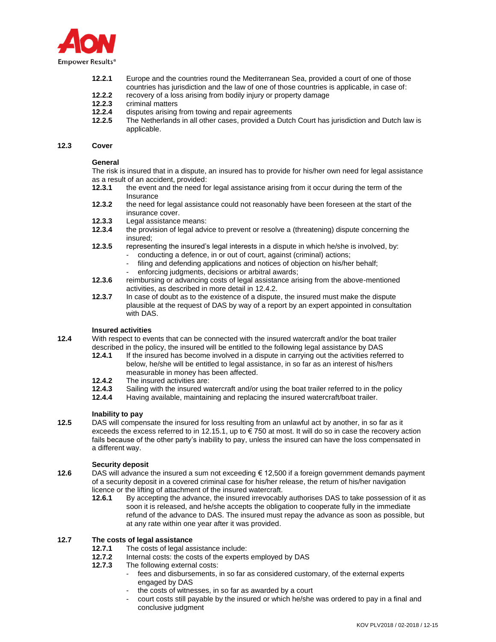

- **12.2.1** Europe and the countries round the Mediterranean Sea, provided a court of one of those countries has jurisdiction and the law of one of those countries is applicable, in case of:
- **12.2.2** recovery of a loss arising from bodily injury or property damage **12.2.3** criminal matters
- **12.2.3** criminal matters
- **12.2.4** disputes arising from towing and repair agreements
- **12.2.5** The Netherlands in all other cases, provided a Dutch Court has jurisdiction and Dutch law is applicable.

#### **12.3 Cover**

#### **General**

The risk is insured that in a dispute, an insured has to provide for his/her own need for legal assistance as a result of an accident, provided:

- **12.3.1** the event and the need for legal assistance arising from it occur during the term of the Insurance
- **12.3.2** the need for legal assistance could not reasonably have been foreseen at the start of the insurance cover.
- **12.3.3** Legal assistance means:
- **12.3.4** the provision of legal advice to prevent or resolve a (threatening) dispute concerning the insured;
- **12.3.5** representing the insured's legal interests in a dispute in which he/she is involved, by:
	- conducting a defence, in or out of court, against (criminal) actions;
	- filing and defending applications and notices of objection on his/her behalf;
	- enforcing judgments, decisions or arbitral awards;
- **12.3.6** reimbursing or advancing costs of legal assistance arising from the above-mentioned activities, as described in more detail in 12.4.2.
- **12.3.7** In case of doubt as to the existence of a dispute, the insured must make the dispute plausible at the request of DAS by way of a report by an expert appointed in consultation with DAS.

## **Insured activities**

**12.4** With respect to events that can be connected with the insured watercraft and/or the boat trailer described in the policy, the insured will be entitled to the following legal assistance by DAS

- **12.4.1** If the insured has become involved in a dispute in carrying out the activities referred to below, he/she will be entitled to legal assistance, in so far as an interest of his/hers measurable in money has been affected.
- 12.4.2 The insured activities are:<br>12.4.3 Sailing with the insured wa
- **12.4.3** Sailing with the insured watercraft and/or using the boat trailer referred to in the policy **12.4.4** Having available, maintaining and replacing the insured watercraft/boat trailer.
- **12.4.4** Having available, maintaining and replacing the insured watercraft/boat trailer.

## **Inability to pay**

**12.5** DAS will compensate the insured for loss resulting from an unlawful act by another, in so far as it exceeds the excess referred to in 12.15.1, up to  $\epsilon$  750 at most. It will do so in case the recovery action fails because of the other party's inability to pay, unless the insured can have the loss compensated in a different way.

## **Security deposit**

- **12.6** DAS will advance the insured a sum not exceeding € 12,500 if a foreign government demands payment of a security deposit in a covered criminal case for his/her release, the return of his/her navigation licence or the lifting of attachment of the insured watercraft.
	- **12.6.1** By accepting the advance, the insured irrevocably authorises DAS to take possession of it as soon it is released, and he/she accepts the obligation to cooperate fully in the immediate refund of the advance to DAS. The insured must repay the advance as soon as possible, but at any rate within one year after it was provided.

# **12.7 The costs of legal assistance**

- **12.7.1** The costs of legal assistance include:
- **12.7.2** Internal costs: the costs of the experts employed by DAS
- **12.7.3** The following external costs:
	- fees and disbursements, in so far as considered customary, of the external experts engaged by DAS
	- the costs of witnesses, in so far as awarded by a court
	- court costs still payable by the insured or which he/she was ordered to pay in a final and conclusive judgment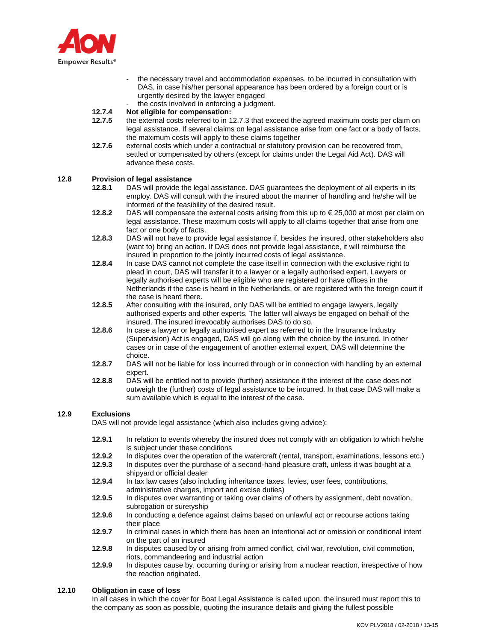

- the necessary travel and accommodation expenses, to be incurred in consultation with DAS, in case his/her personal appearance has been ordered by a foreign court or is urgently desired by the lawyer engaged
- the costs involved in enforcing a judgment.

# **12.7.4 Not eligible for compensation:**

- **12.7.5** the external costs referred to in 12.7.3 that exceed the agreed maximum costs per claim on legal assistance. If several claims on legal assistance arise from one fact or a body of facts, the maximum costs will apply to these claims together
- **12.7.6** external costs which under a contractual or statutory provision can be recovered from, settled or compensated by others (except for claims under the Legal Aid Act). DAS will advance these costs.

## **12.8 Provision of legal assistance**

- **12.8.1** DAS will provide the legal assistance. DAS guarantees the deployment of all experts in its employ. DAS will consult with the insured about the manner of handling and he/she will be informed of the feasibility of the desired result.
- **12.8.2** DAS will compensate the external costs arising from this up to € 25,000 at most per claim on legal assistance. These maximum costs will apply to all claims together that arise from one fact or one body of facts.
- **12.8.3** DAS will not have to provide legal assistance if, besides the insured, other stakeholders also (want to) bring an action. If DAS does not provide legal assistance, it will reimburse the insured in proportion to the jointly incurred costs of legal assistance.
- **12.8.4** In case DAS cannot not complete the case itself in connection with the exclusive right to plead in court, DAS will transfer it to a lawyer or a legally authorised expert. Lawyers or legally authorised experts will be eligible who are registered or have offices in the Netherlands if the case is heard in the Netherlands, or are registered with the foreign court if the case is heard there.
- **12.8.5** After consulting with the insured, only DAS will be entitled to engage lawyers, legally authorised experts and other experts. The latter will always be engaged on behalf of the insured. The insured irrevocably authorises DAS to do so.
- **12.8.6** In case a lawyer or legally authorised expert as referred to in the Insurance Industry (Supervision) Act is engaged, DAS will go along with the choice by the insured. In other cases or in case of the engagement of another external expert, DAS will determine the choice.
- **12.8.7** DAS will not be liable for loss incurred through or in connection with handling by an external expert.
- **12.8.8** DAS will be entitled not to provide (further) assistance if the interest of the case does not outweigh the (further) costs of legal assistance to be incurred. In that case DAS will make a sum available which is equal to the interest of the case.

## **12.9 Exclusions**

DAS will not provide legal assistance (which also includes giving advice):

- **12.9.1** In relation to events whereby the insured does not comply with an obligation to which he/she is subject under these conditions
- **12.9.2** In disputes over the operation of the watercraft (rental, transport, examinations, lessons etc.)
- **12.9.3** In disputes over the purchase of a second-hand pleasure craft, unless it was bought at a shipyard or official dealer
- **12.9.4** In tax law cases (also including inheritance taxes, levies, user fees, contributions, administrative charges, import and excise duties)
- **12.9.5** In disputes over warranting or taking over claims of others by assignment, debt novation, subrogation or suretyship
- **12.9.6** In conducting a defence against claims based on unlawful act or recourse actions taking their place
- **12.9.7** In criminal cases in which there has been an intentional act or omission or conditional intent on the part of an insured
- **12.9.8** In disputes caused by or arising from armed conflict, civil war, revolution, civil commotion, riots, commandeering and industrial action
- **12.9.9** In disputes cause by, occurring during or arising from a nuclear reaction, irrespective of how the reaction originated.

## **12.10 Obligation in case of loss**

In all cases in which the cover for Boat Legal Assistance is called upon, the insured must report this to the company as soon as possible, quoting the insurance details and giving the fullest possible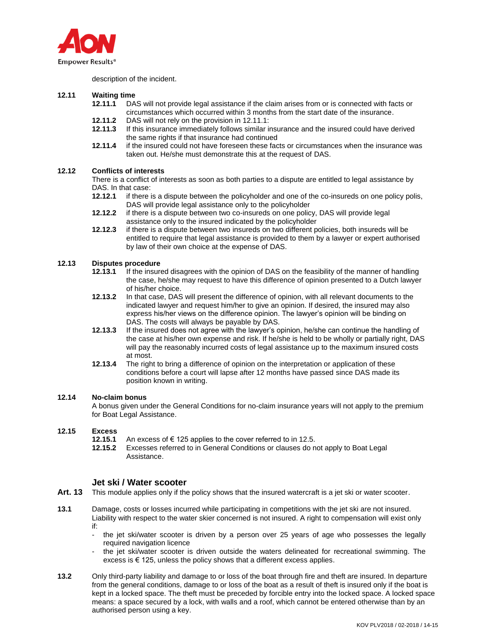

description of the incident.

# **12.11 Waiting time**

- **12.11.1** DAS will not provide legal assistance if the claim arises from or is connected with facts or circumstances which occurred within 3 months from the start date of the insurance.
- **12.11.2** DAS will not rely on the provision in 12.11.1:
- **12.11.3** If this insurance immediately follows similar insurance and the insured could have derived the same rights if that insurance had continued
- **12.11.4** if the insured could not have foreseen these facts or circumstances when the insurance was taken out. He/she must demonstrate this at the request of DAS.

## **12.12 Conflicts of interests**

There is a conflict of interests as soon as both parties to a dispute are entitled to legal assistance by DAS. In that case:

- **12.12.1** if there is a dispute between the policyholder and one of the co-insureds on one policy polis, DAS will provide legal assistance only to the policyholder
- **12.12.2** if there is a dispute between two co-insureds on one policy, DAS will provide legal assistance only to the insured indicated by the policyholder
- **12.12.3** if there is a dispute between two insureds on two different policies, both insureds will be entitled to require that legal assistance is provided to them by a lawyer or expert authorised by law of their own choice at the expense of DAS.

## **12.13 Disputes procedure**

- **12.13.1** If the insured disagrees with the opinion of DAS on the feasibility of the manner of handling the case, he/she may request to have this difference of opinion presented to a Dutch lawyer of his/her choice.
- **12.13.2** In that case, DAS will present the difference of opinion, with all relevant documents to the indicated lawyer and request him/her to give an opinion. If desired, the insured may also express his/her views on the difference opinion. The lawyer's opinion will be binding on DAS. The costs will always be payable by DAS.
- **12.13.3** If the insured does not agree with the lawyer's opinion, he/she can continue the handling of the case at his/her own expense and risk. If he/she is held to be wholly or partially right, DAS will pay the reasonably incurred costs of legal assistance up to the maximum insured costs at most.
- **12.13.4** The right to bring a difference of opinion on the interpretation or application of these conditions before a court will lapse after 12 months have passed since DAS made its position known in writing.

# **12.14 No-claim bonus**

A bonus given under the General Conditions for no-claim insurance years will not apply to the premium for Boat Legal Assistance.

## **12.15 Excess**

- **12.15.1** An excess of € 125 applies to the cover referred to in 12.5.
- **12.15.2** Excesses referred to in General Conditions or clauses do not apply to Boat Legal Assistance.

# **Jet ski / Water scooter**

- **Art. 13** This module applies only if the policy shows that the insured watercraft is a jet ski or water scooter.
- **13.1** Damage, costs or losses incurred while participating in competitions with the jet ski are not insured. Liability with respect to the water skier concerned is not insured. A right to compensation will exist only if:
	- the jet ski/water scooter is driven by a person over 25 years of age who possesses the legally required navigation licence
	- the jet ski/water scooter is driven outside the waters delineated for recreational swimming. The excess is  $\epsilon$  125, unless the policy shows that a different excess applies.
- **13.2** Only third-party liability and damage to or loss of the boat through fire and theft are insured. In departure from the general conditions, damage to or loss of the boat as a result of theft is insured only if the boat is kept in a locked space. The theft must be preceded by forcible entry into the locked space. A locked space means: a space secured by a lock, with walls and a roof, which cannot be entered otherwise than by an authorised person using a key.